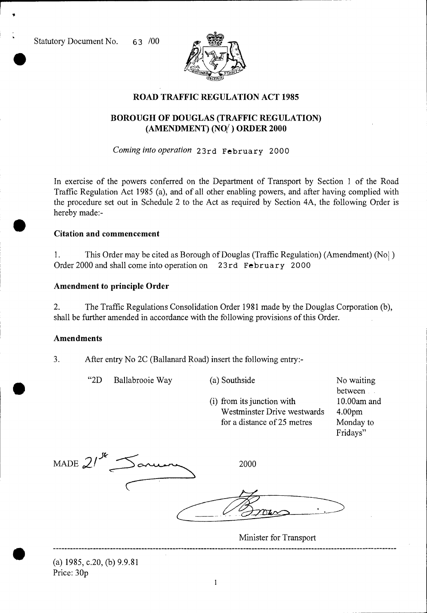Statutory Document No. 63 /00

er<br>●



## **ROAD TRAFFIC REGULATION ACT 1985**

# **BOROUGH OF DOUGLAS (TRAFFIC REGULATION) (AMENDMENT) (NO( ) ORDER 2000**

*Coming into operation* 23rd February 2000

In exercise of the powers conferred on the Department of Transport by Section 1 of the Road Traffic Regulation Act 1985 (a), and of all other enabling powers, and after having complied with the procedure set out in Schedule 2 to the Act as required by Section 4A, the following Order is hereby made:-

#### **Citation and commencement**

1. This Order may be cited as Borough of Douglas (Traffic Regulation) (Amendment) (Nol) Order 2000 and shall come into operation on 23rd February 2000

### **Amendment to principle Order**

2. The Traffic Regulations Consolidation Order 1981 made by the Douglas Corporation (b), shall be further amended in accordance with the following provisions of this Order.

"2D Ballabrooie Way (a) Southside No waiting

#### **Amendments**

•

•

3. After entry No 2C (Ballanard Road) insert the following entry:-

MADE  $21^{\mathcal{R}}$  Saruan 2000 (i) from its junction with 10.00am and Westminster Drive westwards 4.00pm for a distance of 25 metres Monday to Fridays"

Minister for Transport

between

(a) 1985, c.20, (b) 9.9.81 Price: 30p

 $\mathbf{1}$